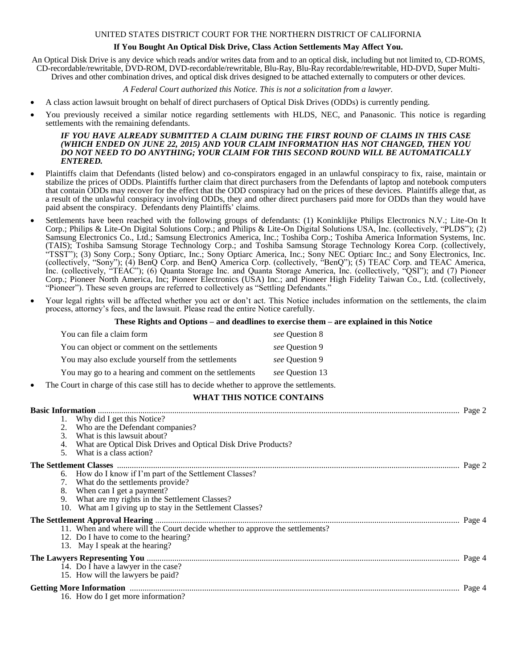#### UNITED STATES DISTRICT COURT FOR THE NORTHERN DISTRICT OF CALIFORNIA

## **If You Bought An Optical Disk Drive, Class Action Settlements May Affect You.**

An Optical Disk Drive is any device which reads and/or writes data from and to an optical disk, including but not limited to, CD-ROMS, CD-recordable/rewritable, DVD-ROM, DVD-recordable/rewritable, Blu-Ray, Blu-Ray recordable/rewritable, HD-DVD, Super Multi-Drives and other combination drives, and optical disk drives designed to be attached externally to computers or other devices.

## *A Federal Court authorized this Notice. This is not a solicitation from a lawyer.*

- A class action lawsuit brought on behalf of direct purchasers of Optical Disk Drives (ODDs) is currently pending.
- You previously received a similar notice regarding settlements with HLDS, NEC, and Panasonic. This notice is regarding settlements with the remaining defendants.

#### *IF YOU HAVE ALREADY SUBMITTED A CLAIM DURING THE FIRST ROUND OF CLAIMS IN THIS CASE (WHICH ENDED ON JUNE 22, 2015) AND YOUR CLAIM INFORMATION HAS NOT CHANGED, THEN YOU DO NOT NEED TO DO ANYTHING; YOUR CLAIM FOR THIS SECOND ROUND WILL BE AUTOMATICALLY ENTERED.*

- Plaintiffs claim that Defendants (listed below) and co-conspirators engaged in an unlawful conspiracy to fix, raise, maintain or stabilize the prices of ODDs. Plaintiffs further claim that direct purchasers from the Defendants of laptop and notebook computers that contain ODDs may recover for the effect that the ODD conspiracy had on the prices of these devices. Plaintiffs allege that, as a result of the unlawful conspiracy involving ODDs, they and other direct purchasers paid more for ODDs than they would have paid absent the conspiracy. Defendants deny Plaintiffs' claims.
- Settlements have been reached with the following groups of defendants: (1) Koninklijke Philips Electronics N.V.; Lite-On It Corp.; Philips & Lite-On Digital Solutions Corp.; and Philips & Lite-On Digital Solutions USA, Inc. (collectively, "PLDS"); (2) Samsung Electronics Co., Ltd.; Samsung Electronics America, Inc.; Toshiba Corp.; Toshiba America Information Systems, Inc. (TAIS); Toshiba Samsung Storage Technology Corp.; and Toshiba Samsung Storage Technology Korea Corp. (collectively, "TSST"); (3) Sony Corp.; Sony Optiarc, Inc.; Sony Optiarc America, Inc.; Sony NEC Optiarc Inc.; and Sony Electronics, Inc. (collectively, "Sony"); (4) BenQ Corp. and BenQ America Corp. (collectively, "BenQ"); (5) TEAC Corp. and TEAC America, Inc. (collectively, "TEAC"); (6) Quanta Storage Inc. and Quanta Storage America, Inc. (collectively, "QSI"); and (7) Pioneer Corp.; Pioneer North America, Inc; Pioneer Electronics (USA) Inc.; and Pioneer High Fidelity Taiwan Co., Ltd. (collectively, "Pioneer"). These seven groups are referred to collectively as "Settling Defendants."
- Your legal rights will be affected whether you act or don't act. This Notice includes information on the settlements, the claim process, attorney's fees, and the lawsuit. Please read the entire Notice carefully.

#### **These Rights and Options – and deadlines to exercise them – are explained in this Notice**

|           | You can file a claim form                                                                | see Question 8  |  |
|-----------|------------------------------------------------------------------------------------------|-----------------|--|
|           | You can object or comment on the settlements                                             | see Ouestion 9  |  |
|           | You may also exclude yourself from the settlements                                       | see Ouestion 9  |  |
|           | You may go to a hearing and comment on the settlements                                   | see Question 13 |  |
| $\bullet$ | The Court in charge of this case still has to decide whether to approve the settlements. |                 |  |

# **WHAT THIS NOTICE CONTAINS**

| 1. Why did I get this Notice?<br>2. Who are the Defendant companies?<br>3. What is this lawsuit about?<br>4. What are Optical Disk Drives and Optical Disk Drive Products?<br>What is a class action?<br>$5^{\circ}$<br>6. How do I know if I'm part of the Settlement Classes?<br>7. What do the settlements provide?<br>8. When can I get a payment?<br>9.<br>What are my rights in the Settlement Classes?<br>10. What am I giving up to stay in the Settlement Classes?<br>11. When and where will the Court decide whether to approve the settlements?<br>12. Do I have to come to the hearing? |
|------------------------------------------------------------------------------------------------------------------------------------------------------------------------------------------------------------------------------------------------------------------------------------------------------------------------------------------------------------------------------------------------------------------------------------------------------------------------------------------------------------------------------------------------------------------------------------------------------|
|                                                                                                                                                                                                                                                                                                                                                                                                                                                                                                                                                                                                      |
|                                                                                                                                                                                                                                                                                                                                                                                                                                                                                                                                                                                                      |
|                                                                                                                                                                                                                                                                                                                                                                                                                                                                                                                                                                                                      |
|                                                                                                                                                                                                                                                                                                                                                                                                                                                                                                                                                                                                      |
|                                                                                                                                                                                                                                                                                                                                                                                                                                                                                                                                                                                                      |
|                                                                                                                                                                                                                                                                                                                                                                                                                                                                                                                                                                                                      |
|                                                                                                                                                                                                                                                                                                                                                                                                                                                                                                                                                                                                      |
|                                                                                                                                                                                                                                                                                                                                                                                                                                                                                                                                                                                                      |
|                                                                                                                                                                                                                                                                                                                                                                                                                                                                                                                                                                                                      |
|                                                                                                                                                                                                                                                                                                                                                                                                                                                                                                                                                                                                      |
|                                                                                                                                                                                                                                                                                                                                                                                                                                                                                                                                                                                                      |
|                                                                                                                                                                                                                                                                                                                                                                                                                                                                                                                                                                                                      |
|                                                                                                                                                                                                                                                                                                                                                                                                                                                                                                                                                                                                      |
|                                                                                                                                                                                                                                                                                                                                                                                                                                                                                                                                                                                                      |
|                                                                                                                                                                                                                                                                                                                                                                                                                                                                                                                                                                                                      |
| 13. May I speak at the hearing?                                                                                                                                                                                                                                                                                                                                                                                                                                                                                                                                                                      |
| . Page 4                                                                                                                                                                                                                                                                                                                                                                                                                                                                                                                                                                                             |
| 14. Do I have a lawyer in the case?                                                                                                                                                                                                                                                                                                                                                                                                                                                                                                                                                                  |
| 15. How will the lawyers be paid?                                                                                                                                                                                                                                                                                                                                                                                                                                                                                                                                                                    |
| Page 4                                                                                                                                                                                                                                                                                                                                                                                                                                                                                                                                                                                               |
| 16. How do I get more information?                                                                                                                                                                                                                                                                                                                                                                                                                                                                                                                                                                   |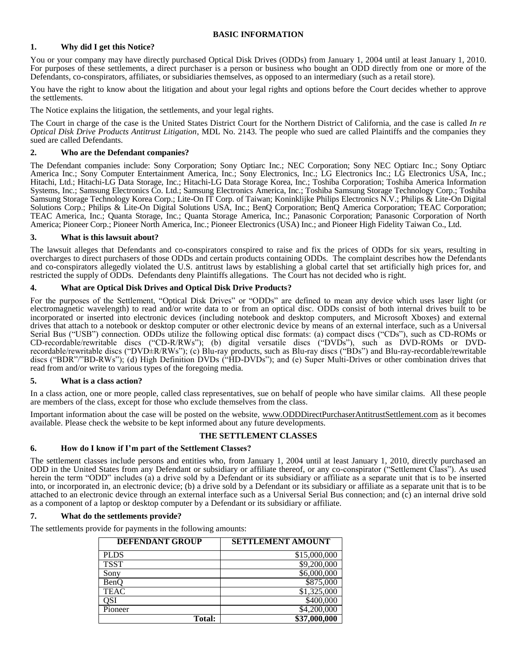## **BASIC INFORMATION**

## **1. Why did I get this Notice?**

You or your company may have directly purchased Optical Disk Drives (ODDs) from January 1, 2004 until at least January 1, 2010. For purposes of these settlements, a direct purchaser is a person or business who bought an ODD directly from one or more of the Defendants, co-conspirators, affiliates, or subsidiaries themselves, as opposed to an intermediary (such as a retail store).

You have the right to know about the litigation and about your legal rights and options before the Court decides whether to approve the settlements.

The Notice explains the litigation, the settlements, and your legal rights.

The Court in charge of the case is the United States District Court for the Northern District of California, and the case is called *In re Optical Disk Drive Products Antitrust Litigation*, MDL No. 2143. The people who sued are called Plaintiffs and the companies they sued are called Defendants.

## **2. Who are the Defendant companies?**

The Defendant companies include: Sony Corporation; Sony Optiarc Inc.; NEC Corporation; Sony NEC Optiarc Inc.; Sony Optiarc America Inc.; Sony Computer Entertainment America, Inc.; Sony Electronics, Inc.; LG Electronics Inc.; LG Electronics USA, Inc.; Hitachi, Ltd.; Hitachi-LG Data Storage, Inc.; Hitachi-LG Data Storage Korea, Inc.; Toshiba Corporation; Toshiba America Information Systems, Inc.; Samsung Electronics Co. Ltd.; Samsung Electronics America, Inc.; Toshiba Samsung Storage Technology Corp.; Toshiba Samsung Storage Technology Korea Corp.; Lite-On IT Corp. of Taiwan; Koninklijke Philips Electronics N.V.; Philips & Lite-On Digital Solutions Corp.; Philips & Lite-On Digital Solutions USA, Inc.; BenQ Corporation; BenQ America Corporation; TEAC Corporation; TEAC America, Inc.; Quanta Storage, Inc.; Quanta Storage America, Inc.; Panasonic Corporation; Panasonic Corporation of North America; Pioneer Corp.; Pioneer North America, Inc.; Pioneer Electronics (USA) Inc.; and Pioneer High Fidelity Taiwan Co., Ltd.

## **3. What is this lawsuit about?**

The lawsuit alleges that Defendants and co-conspirators conspired to raise and fix the prices of ODDs for six years, resulting in overcharges to direct purchasers of those ODDs and certain products containing ODDs. The complaint describes how the Defendants and co-conspirators allegedly violated the U.S. antitrust laws by establishing a global cartel that set artificially high prices for, and restricted the supply of ODDs. Defendants deny Plaintiffs allegations. The Court has not decided who is right.

## **4. What are Optical Disk Drives and Optical Disk Drive Products?**

For the purposes of the Settlement, "Optical Disk Drives" or "ODDs" are defined to mean any device which uses laser light (or electromagnetic wavelength) to read and/or write data to or from an optical disc. ODDs consist of both internal drives built to be incorporated or inserted into electronic devices (including notebook and desktop computers, and Microsoft Xboxes) and external drives that attach to a notebook or desktop computer or other electronic device by means of an external interface, such as a Universal Serial Bus ("USB") connection. ODDs utilize the following optical disc formats: (a) compact discs ("CDs"), such as CD-ROMs or CD-recordable/rewritable discs ("CD-R/RWs"); (b) digital versatile discs ("DVDs"), such as DVD-ROMs or DVDrecordable/rewritable discs ("DVD±R/RWs"); (c) Blu-ray products, such as Blu-ray discs ("BDs") and Blu-ray-recordable/rewritable discs ("BDR"/"BD-RWs"); (d) High Definition DVDs ("HD-DVDs"); and (e) Super Multi-Drives or other combination drives that read from and/or write to various types of the foregoing media.

## **5. What is a class action?**

In a class action, one or more people, called class representatives, sue on behalf of people who have similar claims. All these people are members of the class, except for those who exclude themselves from the class.

Important information about the case will be posted on the website, [www.ODDDirectPurchaserAntitrustSettlement.com](http://www.odddirectpurchaserantitrustsettlement.com/) as it becomes available. Please check the website to be kept informed about any future developments.

#### **THE SETTLEMENT CLASSES**

#### **6. How do I know if I'm part of the Settlement Classes?**

The settlement classes include persons and entities who, from January 1, 2004 until at least January 1, 2010, directly purchased an ODD in the United States from any Defendant or subsidiary or affiliate thereof, or any co-conspirator ("Settlement Class"). As used herein the term "ODD" includes (a) a drive sold by a Defendant or its subsidiary or affiliate as a separate unit that is to be inserted into, or incorporated in, an electronic device; (b) a drive sold by a Defendant or its subsidiary or affiliate as a separate unit that is to be attached to an electronic device through an external interface such as a Universal Serial Bus connection; and (c) an internal drive sold as a component of a laptop or desktop computer by a Defendant or its subsidiary or affiliate.

#### **7. What do the settlements provide?**

The settlements provide for payments in the following amounts:

| <b>DEFENDANT GROUP</b> | <b>SETTLEMENT AMOUNT</b> |
|------------------------|--------------------------|
| <b>PLDS</b>            | \$15,000,000             |
| <b>TSST</b>            | \$9,200,000              |
| Sony                   | \$6,000,000              |
| BenO                   | \$875,000                |
| <b>TEAC</b>            | \$1,325,000              |
| OSI                    | \$400,000                |
| Pioneer                | \$4,200,000              |
| <b>Total:</b>          | \$37,000,000             |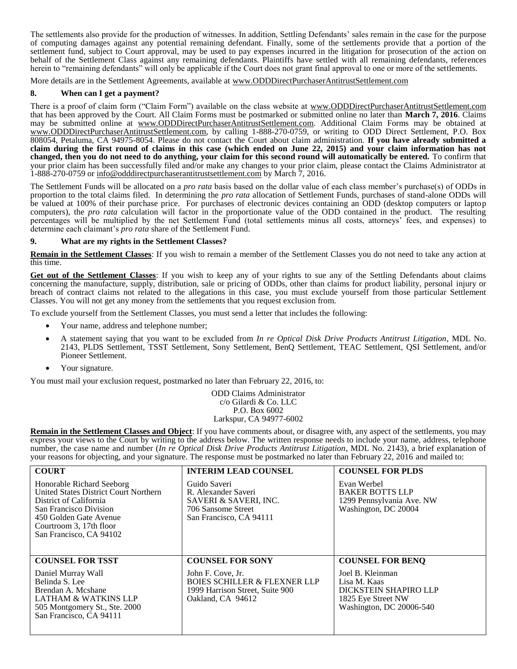The settlements also provide for the production of witnesses. In addition, Settling Defendants' sales remain in the case for the purpose of computing damages against any potential remaining defendant. Finally, some of the settlements provide that a portion of the settlement fund, subject to Court approval, may be used to pay expenses incurred in the litigation for prosecution of the action on behalf of the Settlement Class against any remaining defendants. Plaintiffs have settled with all remaining defendants, references herein to "remaining defendants" will only be applicable if the Court does not grant final approval to one or more of the settlements.

More details are in the Settlement Agreements, available at www.ODDDirectPurchaserAntitrustSettlement.com

#### **8. When can I get a payment?**

There is a proof of claim form ("Claim Form") available on the class website at www.ODDDirectPurchaserAntitrustSettlement.com that has been approved by the Court. All Claim Forms must be postmarked or submitted online no later than **March 7, 2016**. Claims may be submitted online at www.ODDDirectPurchaserAntitrustSettlement.com. Additional Claim Forms may be obtained at www.ODDDirectPurchaserAntitrustSettlement.com, by calling 1-888-270-0759, or writing to ODD Direct Settlement, P.O. Box 808054, Petaluma, CA 94975-8054. Please do not contact the Court about claim administration. **If you have already submitted a claim during the first round of claims in this case (which ended on June 22, 2015) and your claim information has not changed, then you do not need to do anything, your claim for this second round will automatically be entered.** To confirm that your prior claim has been successfully filed and/or make any changes to your prior claim, please contact the Claims Administrator at 1-888-270-0759 or [info@odddirectpurchaserantitrustsettlement.com](mailto:info@odddirectpurchaserantitrustsettlement.com) by March 7, 2016.

The Settlement Funds will be allocated on a *pro rata* basis based on the dollar value of each class member's purchase(s) of ODDs in proportion to the total claims filed. In determining the *pro rata* allocation of Settlement Funds, purchases of stand-alone ODDs will be valued at 100% of their purchase price. For purchases of electronic devices containing an ODD (desktop computers or laptop computers), the *pro rata* calculation will factor in the proportionate value of the ODD contained in the product. The resulting percentages will be multiplied by the net Settlement Fund (total settlements minus all costs, attorneys' fees, and expenses) to determine each claimant's *pro rata* share of the Settlement Fund.

## **9. What are my rights in the Settlement Classes?**

**Remain in the Settlement Classes**: If you wish to remain a member of the Settlement Classes you do not need to take any action at this time.

**Get out of the Settlement Classes**: If you wish to keep any of your rights to sue any of the Settling Defendants about claims concerning the manufacture, supply, distribution, sale or pricing of ODDs, other than claims for product liability, personal injury or breach of contract claims not related to the allegations in this case, you must exclude yourself from those particular Settlement Classes. You will not get any money from the settlements that you request exclusion from.

To exclude yourself from the Settlement Classes, you must send a letter that includes the following:

- Your name, address and telephone number;
- A statement saying that you want to be excluded from *In re Optical Disk Drive Products Antitrust Litigation*, MDL No. 2143, PLDS Settlement, TSST Settlement, Sony Settlement, BenQ Settlement, TEAC Settlement, QSI Settlement, and/or Pioneer Settlement.
- Your signature.

You must mail your exclusion request, postmarked no later than February 22, 2016, to:

ODD Claims Administrator c/o Gilardi & Co. LLC P.O. Box 6002 Larkspur, CA 94977-6002

**Remain in the Settlement Classes and Object**: If you have comments about, or disagree with, any aspect of the settlements, you may express your views to the Court by writing to the address below. The written response needs to include your name, address, telephone number, the case name and number (*In re Optical Disk Drive Products Antitrust Litigation*, MDL No. 2143), a brief explanation of your reasons for objecting, and your signature. The response must be postmarked no later than February 22, 2016 and mailed to:

| <b>COURT</b>                                                                                                                                                                                           | <b>INTERIM LEAD COUNSEL</b>                                                                                          | <b>COUNSEL FOR PLDS</b>                                                                                     |
|--------------------------------------------------------------------------------------------------------------------------------------------------------------------------------------------------------|----------------------------------------------------------------------------------------------------------------------|-------------------------------------------------------------------------------------------------------------|
| Honorable Richard Seeborg<br>United States District Court Northern<br>District of California<br>San Francisco Division<br>450 Golden Gate Avenue<br>Courtroom 3, 17th floor<br>San Francisco, CA 94102 | Guido Saveri<br>R. Alexander Saveri<br>SAVERI & SAVERI, INC.<br>706 Sansome Street<br>San Francisco, CA 94111        | Evan Werbel<br><b>BAKER BOTTS LLP</b><br>1299 Pennsylvania Ave. NW<br>Washington, DC 20004                  |
| <b>COUNSEL FOR TSST</b>                                                                                                                                                                                | <b>COUNSEL FOR SONY</b>                                                                                              | <b>COUNSEL FOR BENO</b>                                                                                     |
| Daniel Murray Wall<br>Belinda S. Lee<br>Brendan A. Mcshane<br><b>LATHAM &amp; WATKINS LLP</b><br>505 Montgomery St., Ste. 2000<br>San Francisco, CA 94111                                              | John F. Cove, Jr.<br><b>BOIES SCHILLER &amp; FLEXNER LLP</b><br>1999 Harrison Street, Suite 900<br>Oakland, CA 94612 | Joel B. Kleinman<br>Lisa M. Kaas<br>DICKSTEIN SHAPIRO LLP<br>1825 Eye Street NW<br>Washington, DC 20006-540 |